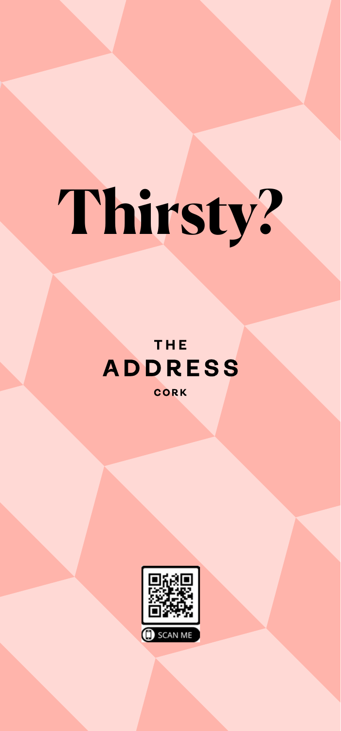# **Thirsty?**

### THE. **ADDRESS**

CORK

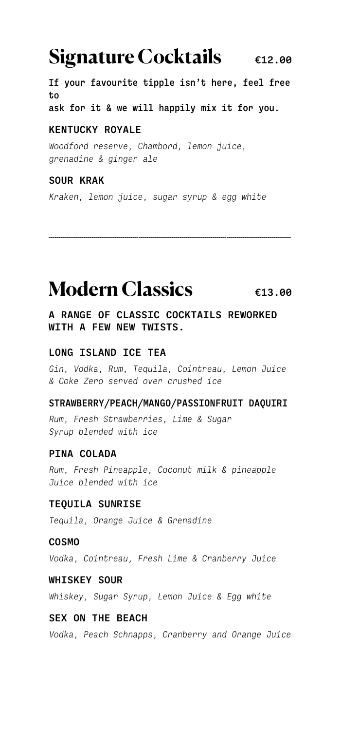### **Signature Cocktails** €12.00

If your favourite tipple isn't here, feel free to ask for it & we will happily mix it for you.

#### KENTUCKY ROYALE

Woodford reserve, Chambord, lemon juice, grenadine & ginger ale

#### SOUR KRAK

Kraken, lemon juice, sugar syrup & egg white

### **Modern Classics** €13.00

A RANGE OF CLASSIC COCKTAILS REWORKED WITH A FEW NEW TWISTS.

#### LONG ISLAND ICE TEA

Gin, Vodka, Rum, Tequila, Cointreau, Lemon Juice & Coke Zero served over crushed ice

#### STRAWBERRY/PEACH/MANGO/PASSIONFRUIT DAQUIRI

Rum, Fresh Strawberries, Lime & Sugar Syrup blended with ice

#### PINA COLADA

Rum, Fresh Pineapple, Coconut milk & pineapple Juice blended with ice

#### TEQUILA SUNRISE

Tequila, Orange Juice & Grenadine

#### **COSMO**

Vodka, Cointreau, Fresh Lime & Cranberry Juice

#### WHISKEY SOUR

Whiskey, Sugar Syrup, Lemon Juice & Egg white

#### SEX ON THE BEACH

Vodka, Peach Schnapps, Cranberry and Orange Juice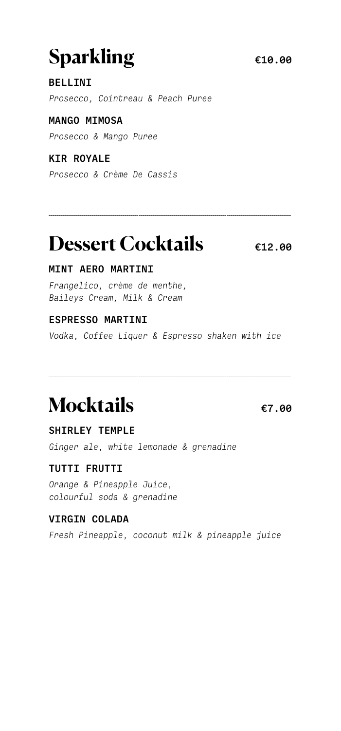## **Sparkling** €10.00

**BELLINI** Prosecco, Cointreau & Peach Puree

#### MANGO MTMOSA

Prosecco & Mango Puree

#### KIR ROYALE

Prosecco & Crème De Cassis

### **Dessert Cocktails**  $\epsilon$ 12.00

### MINT AERO MARTINI

Frangelico, crème de menthe, Baileys Cream, Milk & Cream

#### ESPRESSO MARTINI

Vodka, Coffee Liquer & Espresso shaken with ice

### **Mocktails** €7.00

### SHIRLEY TEMPLE

Ginger ale, white lemonade & grenadine

#### TUTTI FRUTTI

Orange & Pineapple Juice, colourful soda & grenadine

#### VIRGIN COLADA

Fresh Pineapple, coconut milk & pineapple juice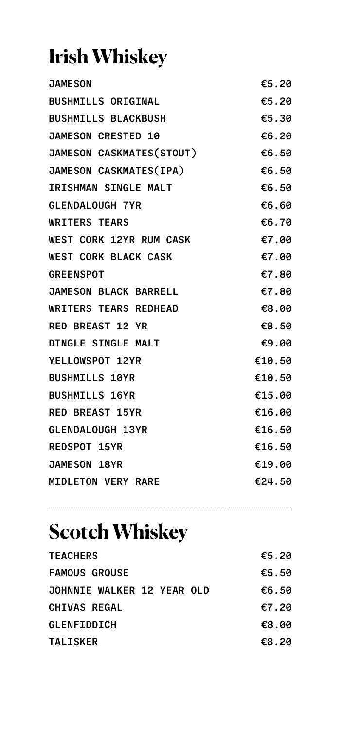### **Irish Whiskey**

| <b>JAMESON</b>                 | €5.20  |
|--------------------------------|--------|
| <b>BUSHMILLS ORIGINAL</b>      | €5.20  |
| <b>BUSHMILLS BLACKBUSH</b>     | €5.30  |
| <b>JAMESON CRESTED 10</b>      | €6.20  |
| JAMESON CASKMATES(STOUT)       | €6.50  |
| JAMESON CASKMATES(IPA)         | €6.50  |
| <b>IRISHMAN SINGLE MALT</b>    | €6.50  |
| <b>GLENDALOUGH 7YR</b>         | €6.60  |
| <b>WRITERS TEARS</b>           | €6.70  |
| <b>WEST CORK 12YR RUM CASK</b> | €7.00  |
| <b>WEST CORK BLACK CASK</b>    | €7.00  |
| <b>GREENSPOT</b>               | €7.80  |
| JAMESON BLACK BARRELL          | €7.80  |
| <b>WRITERS TEARS REDHEAD</b>   | €8.00  |
| <b>RED BREAST 12 YR</b>        | €8.50  |
| <b>DINGLE SINGLE MALT</b>      | €9.00  |
| YELLOWSPOT 12YR                | €10.50 |
| <b>BUSHMILLS 10YR</b>          | €10.50 |
| <b>BUSHMILLS 16YR</b>          | €15.00 |
| <b>RED BREAST 15YR</b>         | €16.00 |
| <b>GLENDALOUGH 13YR</b>        | €16.50 |
| <b>REDSPOT 15YR</b>            | €16.50 |
| <b>JAMESON 18YR</b>            | €19.00 |
| <b>MIDLETON VERY RARE</b>      | €24.50 |

### **Scotch Whiskey**

| <b>TEACHERS</b>            | €5.20 |
|----------------------------|-------|
| <b>FAMOUS GROUSE</b>       | €5.50 |
| JOHNNIE WALKER 12 YEAR OLD | €6.50 |
| <b>CHIVAS REGAL</b>        | €7.20 |
| <b>GLENFIDDICH</b>         | €8.00 |
| <b>TALISKER</b>            | €8.20 |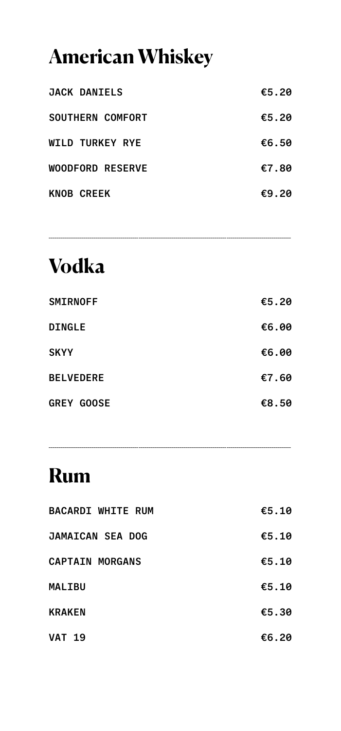### **American Whiskey**

| <b>JACK DANIELS</b>     | €5.20 |
|-------------------------|-------|
| SOUTHERN COMFORT        | €5.20 |
| <b>WILD TURKEY RYE</b>  | €6.50 |
| <b>WOODFORD RESERVE</b> | €7.80 |
| <b>KNOB CREEK</b>       | €9.20 |

### **Vodka**

| <b>SMIRNOFF</b>   | €5.20 |
|-------------------|-------|
| <b>DINGLE</b>     | €6.00 |
| <b>SKYY</b>       | €6.00 |
| <b>BELVEDERE</b>  | €7.60 |
| <b>GREY GOOSE</b> | €8.50 |

### **Rum**

| <b>BACARDI WHITE RUM</b> | €5.10 |
|--------------------------|-------|
| JAMAICAN SEA DOG         | €5.10 |
| <b>CAPTAIN MORGANS</b>   | €5.10 |
| <b>MALIBU</b>            | €5.10 |
| <b>KRAKEN</b>            | €5.30 |
| <b>VAT 19</b>            | €6.20 |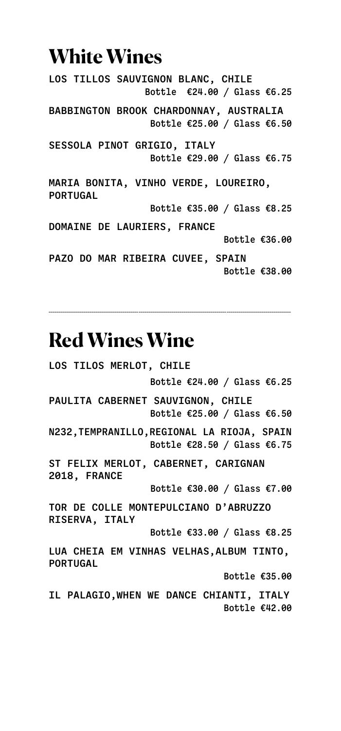### **White Wines**

LOS TILLOS SAUVIGNON BLANC, CHILE Bottle €24.00 / Glass €6.25 BABBINGTON BROOK CHARDONNAY, AUSTRALIA Bottle €25.00 / Glass €6.50 SESSOLA PINOT GRIGIO, ITALY Bottle €29.00 / Glass €6.75 MARIA BONITA, VINHO VERDE, LOUREIRO, PORTUGAL Bottle €35.00 / Glass €8.25 DOMAINE DE LAURIERS, FRANCE Bottle €36.00 PAZO DO MAR RIBEIRA CUVEE, SPAIN Bottle €38.00

### **Red Wines Wine**

LOS TILOS MERLOT, CHILE Bottle €24.00 / Glass €6.25 PAULITA CABERNET SAUVIGNON, CHILE Bottle €25.00 / Glass €6.50 N232,TEMPRANILLO,REGIONAL LA RIOJA, SPAIN Bottle €28.50 / Glass €6.75 ST FELIX MERLOT, CABERNET, CARIGNAN 2018, FRANCE Bottle €30.00 / Glass €7.00 TOR DE COLLE MONTEPULCIANO D'ABRUZZO RISERVA, ITALY Bottle €33.00 / Glass €8.25 LUA CHEIA EM VINHAS VELHAS,ALBUM TINTO, **PORTUGAL** Bottle €35.00 IL PALAGIO,WHEN WE DANCE CHIANTI, ITALY Bottle €42.00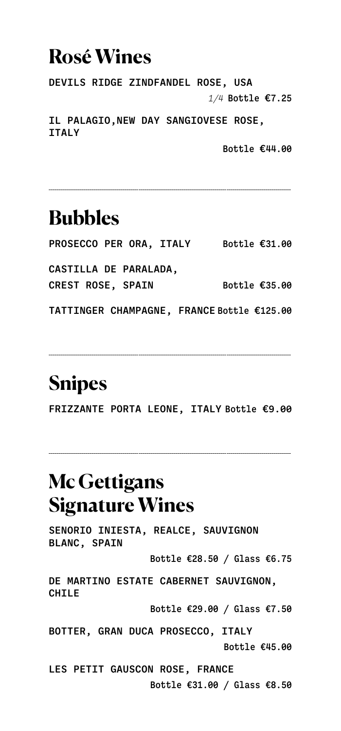### **Rosé Wines**

DEVILS RIDGE ZINDFANDEL ROSE, USA

1/4 Bottle €7.25

IL PALAGIO,NEW DAY SANGIOVESE ROSE, ITALY

Bottle €44.00

### **Bubbles**

| PROSECCO PER ORA, ITALY                    | Bottle $€31.00$ |
|--------------------------------------------|-----------------|
| CASTILLA DE PARALADA,                      |                 |
| <b>CREST ROSE, SPAIN</b>                   | Bottle $€35.00$ |
| TATTINGER CHAMPAGNE, FRANCE Bottle €125.00 |                 |

### **Snipes**

FRIZZANTE PORTA LEONE, ITALY Bottle €9.00

### **Mc Gettigans Signature Wines**

SENORIO INIESTA, REALCE, SAUVIGNON BLANC, SPAIN

Bottle €28.50 / Glass €6.75

DE MARTINO ESTATE CABERNET SAUVIGNON, CHILE

Bottle €29.00 / Glass €7.50

BOTTER, GRAN DUCA PROSECCO, ITALY Bottle €45.00

LES PETIT GAUSCON ROSE, FRANCE

Bottle €31.00 / Glass €8.50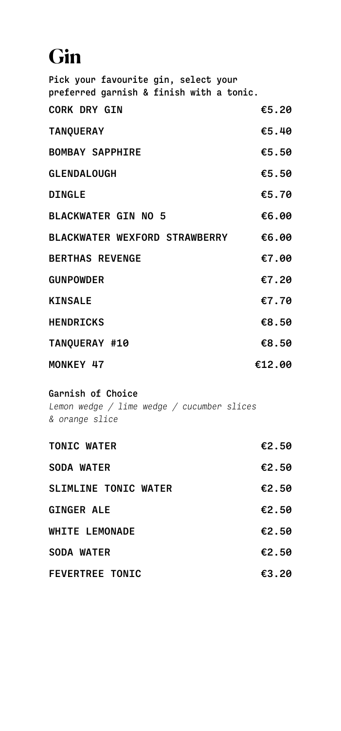### **Gin**

| Pick your favourite gin, select your<br>preferred garnish & finish with a tonic. |        |
|----------------------------------------------------------------------------------|--------|
| <b>CORK DRY GIN</b>                                                              | €5.20  |
| <b>TANOUERAY</b>                                                                 | €5.40  |
| <b>BOMBAY SAPPHIRE</b>                                                           | €5.50  |
| <b>GLENDALOUGH</b>                                                               | €5.50  |
| <b>DINGLE</b>                                                                    | €5.70  |
| <b>BLACKWATER GIN NO 5</b>                                                       | €6.00  |
| <b>BLACKWATER WEXFORD STRAWBERRY</b>                                             | €6.00  |
| <b>BERTHAS REVENGE</b>                                                           | €7.00  |
| <b>GUNPOWDER</b>                                                                 | €7.20  |
| <b>KINSALE</b>                                                                   | €7.70  |
| <b>HENDRICKS</b>                                                                 | €8.50  |
| <b>TANOUERAY #10</b>                                                             | €8.50  |
| <b>MONKEY 47</b>                                                                 | €12.00 |

Garnish of Choice Lemon wedge / lime wedge / cucumber slices & orange slice

| <b>TONIC WATER</b>          | €2.50 |
|-----------------------------|-------|
| <b>SODA WATER</b>           | €2.50 |
| <b>SLIMLINE TONIC WATER</b> | €2.50 |
| <b>GINGER ALE</b>           | €2.50 |
| <b>WHITE LEMONADE</b>       | €2.50 |
| <b>SODA WATER</b>           | €2.50 |
| <b>FEVERTREE TONIC</b>      | €3.20 |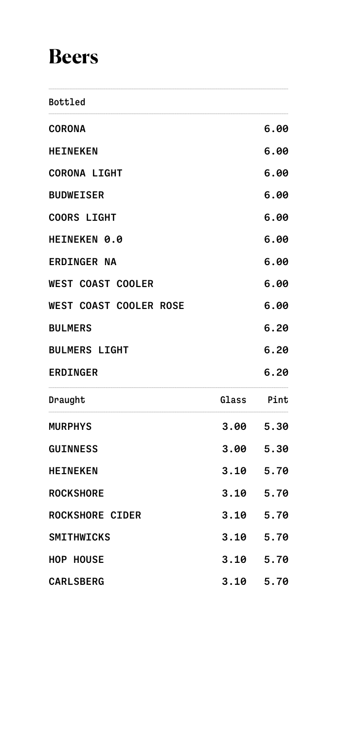### **Reers**

**Bottled CORONA** 6.00 **HEINEKEN** 6.00 **CORONA LIGHT** 6.00 **BUDWEISER** 6.00 **COORS LIGHT** 6.00 HEINEKEN 0.0 6.00 **ERDINGER NA** 6.00 **WEST COAST COOLER** 6.00 **WEST COAST COOLER ROSE** 6.00 **BULMERS**  $6.20$ **BULMERS LIGHT**  $6.20$ **ERDINGER** 6.20 Glass Draught Pint 3.00 5.30 **MURPHYS GUINNESS**  $3.00$ 5.30 **HEINEKEN** 3.10 5.70 **ROCKSHORE** 3.10 5.70 **ROCKSHORE CIDER**  $3.10$   $5.70$ **SMITHWICKS**  $3.10$ 5.70 HOP HOUSE 3.10 5.70 **CARLSBERG** 3.10 5.70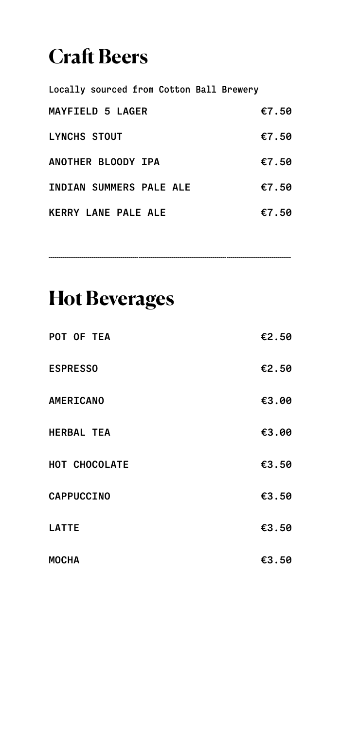### **Craft Beers**

Locally sourced from Cotton Ball Brewery MAYFIELD 5 LAGER  $67.50$ LYNCHS STOUT **€7.50** ANOTHER BLOODY IPA €7.50 INDIAN SUMMERS PALE ALE €7.50 KERRY LANE PALE ALE **€7.50** 

**Hot Beverages**

| <b>POT OF TEA</b>    | €2.50 |
|----------------------|-------|
| <b>ESPRESSO</b>      | €2.50 |
| <b>AMERICANO</b>     | €3.00 |
| <b>HERBAL TEA</b>    | €3.00 |
| <b>HOT CHOCOLATE</b> | €3.50 |
| <b>CAPPUCCINO</b>    | €3.50 |
| <b>LATTE</b>         | €3.50 |
| MOCHA                | €3.50 |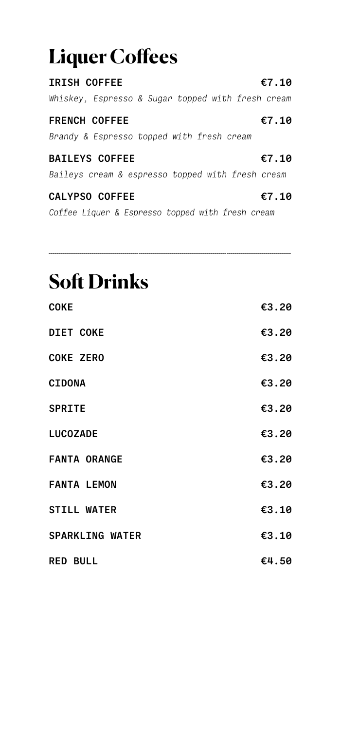### **Liquer Coffees**

| <b>IRISH COFFEE</b>                               | €7.10 |
|---------------------------------------------------|-------|
| Whiskey, Espresso & Sugar topped with fresh cream |       |
| <b>FRENCH COFFEE</b>                              | €7.10 |
| Brandy & Espresso topped with fresh cream         |       |
| <b>BAILEYS COFFEE</b>                             | €7.10 |
| Baileys cream & espresso topped with fresh cream  |       |
| <b>CALYPSO COFFEE</b>                             | €7.10 |
| Coffee Liquer & Espresso topped with fresh cream  |       |

**Soft Drinks**

| <b>COKE</b>            | €3.20    |
|------------------------|----------|
| <b>DIET COKE</b>       | €3.20    |
| <b>COKE ZERO</b>       | €3.20    |
| <b>CIDONA</b>          | €3.20    |
| <b>SPRITE</b>          | €3.20    |
| <b>LUCOZADE</b>        | €3.20    |
| <b>FANTA ORANGE</b>    | €3.20    |
| <b>FANTA LEMON</b>     | €3.20    |
| <b>STILL WATER</b>     | € $3.10$ |
| <b>SPARKLING WATER</b> | € $3.10$ |
| <b>RED BULL</b>        | €4.50    |